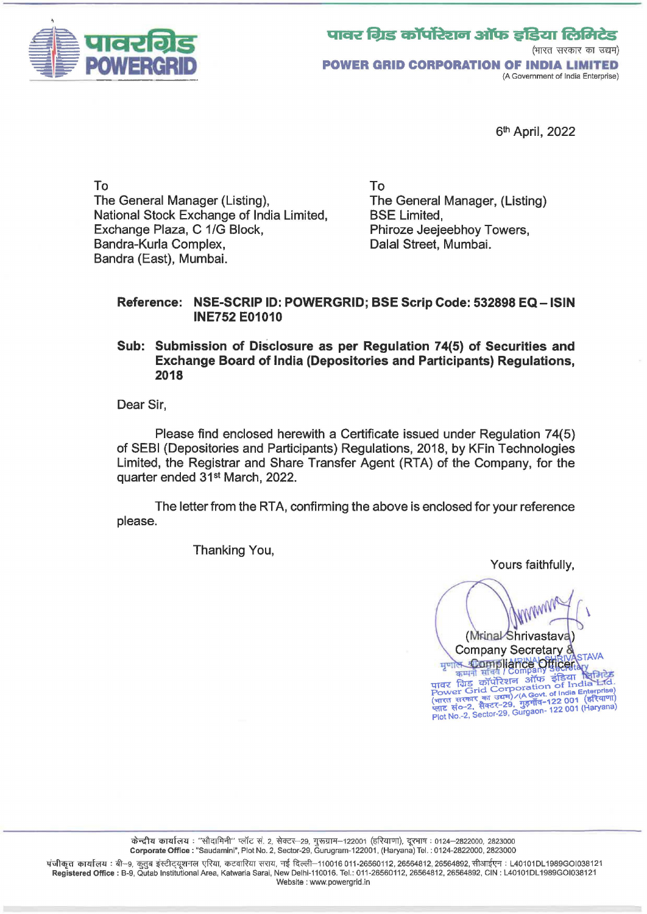

5th April, 2022

To The General Manager (Listing), The General Manager, (Listing) National Stock Exchange of India Limited, BSE Limited, Exchange Plaza, C 1/G Block, Bandra-Kurla Complex, Sandra (East), Mumbai.

To Phiroze Jeejeebhoy Towers, Dalal Street, Mumbai.

## Reference: NSE-SCRIP ID: POWERGRID; BSE Scrip Code: 532898 EQ- ISIN INE752 E01010

## Sub: Submission of Disclosure as per Regulation 74(5) of Securities and Exchange Board of India (Depositories and Participants) Regulations, 2018

Dear Sir,

Please find enclosed herewith a Certificate issued under Regulation 74(5) of SEBI (Depositories and Participants) Regulations, 2018, by KFin Technologies Limited, the Registrar and Share Transfer Agent (RTA) of the Company, for the quarter ended 31st March, 2022.

The letter from the RTA, confirming the above is enclosed for your reference please.

Thanking You,

Yours faithfully,

(Mrinal Shrivastava Company Secretary 8 मृणोल **Compliance Officer** मुणाल अल्लानी सुनिदेश<br>पावर क्रिया सिनंदे Company अध्यायर द्वीड कॉर्पोरेशन ऑफ इंडिया सिनिटेड<br>पावर किंद्र कॉर्पोरेशन ऑफ इंडिया सिंबे Ltd.<br>Power Grid Corporation of India Enterprise)<br>(भारत सरकार का उद्यम)/(A Gowt. of India E

.<br>पंजीकृत कार्यालय : बी–9, कुतुब इंस्टीट्यूशनल एरिया, कटवारिया सराय, नई दिल्ली–110016 011-26560112, 26564812, 26564892, सीआईएन : L40101DL1989GOI038121 Registered Office: B-9, Qutab Institutional Area, Katwaria Sarai, New Delhi-110016. Tel.: 011-26560112, 26564812, 26564892, CIN: L40101DL 1989GOI038121 Website : www.powergrid.in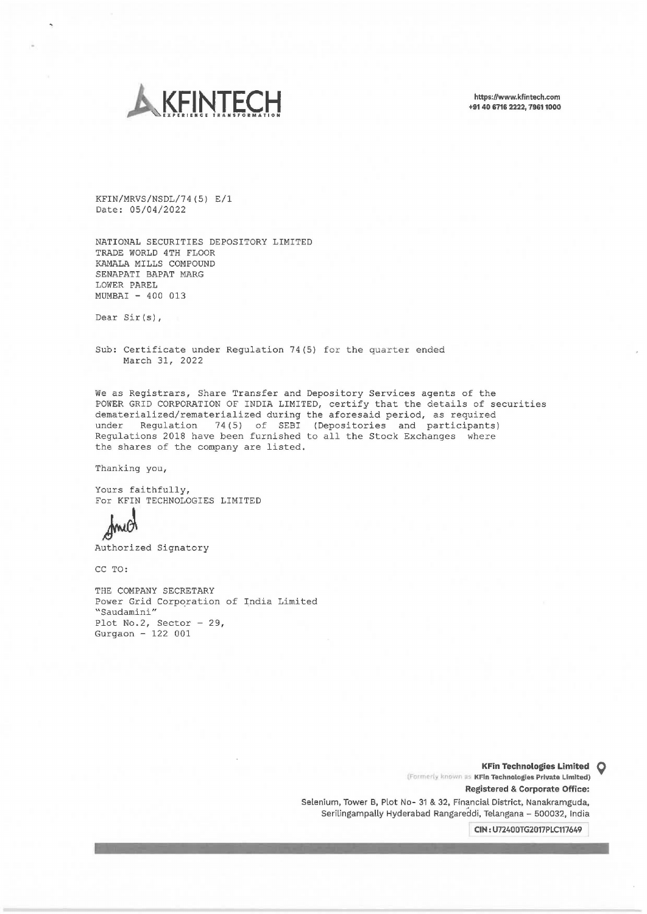

https://www.kfintech.com +91 40 6716 2222, 79611000

KFIN/MRVS/NSDL/74(5) E/1 Date: 05/04/2022

NATIONAL SECURITIES DEPOSITORY LIMITED TRADE WORLD 4TH FLOOR KAMALA MILLS COMPOUND SENAPATI BAPAT MARG LOWER PAREL MUMBAI - 400 013

Dear Sir(s),

Sub: Certificate under Regulation 74(5) for the quarter ended March 31, 2022

We as Registrars, Share Transfer and Depository Services agents of the POWER GRID CORPORATION OF INDIA LIMITED, certify that the details of securities dematerialized/rematerialized during the aforesaid period, as required under Regulation 74(5) of SEBI (Depositories and participants) Regulations 2018 have been furnished to all the Stock Exchanges where the shares of the company are listed.

Thanking you,

Yours faithfully, For KFIN TECHNOLOGIES LIMITED

Authorized Signatory

CC TO:

THE COMPANY SECRETARY Power Grid Corporation of India Limited "Saudamini" Plot No.2, Sector - 29, Gurgaon - 122 001

> (Formerly known as KFIn Technologies Private Limited) KFin Technologies Limited **Q**  Registered & Corporate Office: Selenium, Tower B, Plot No- 31 & 32, Financial District, Nanakramguda, Serilingampally Hyderabad Rangareddi, Telangana - 500032, India

> > CIN: U72400TG2017PLC117649